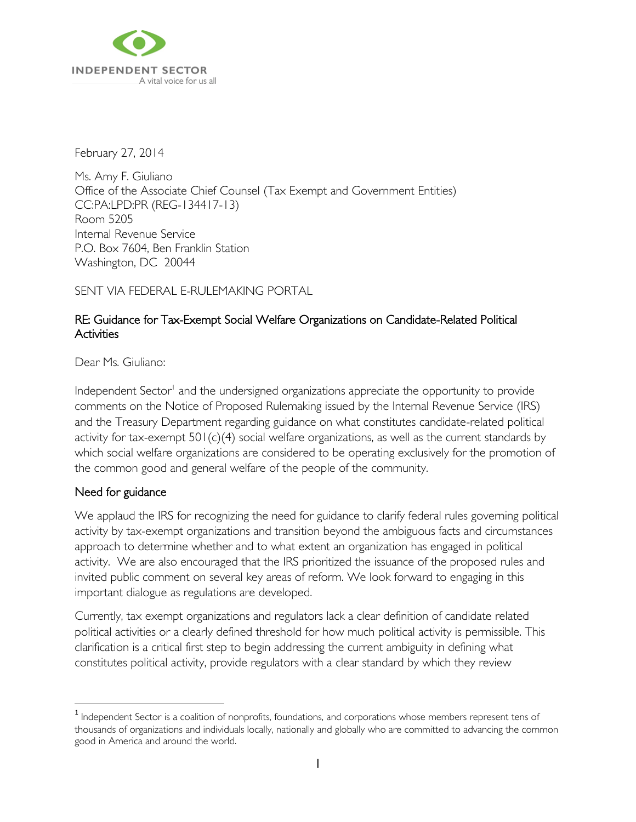

February 27, 2014

Ms. Amy F. Giuliano Office of the Associate Chief Counsel (Tax Exempt and Government Entities) CC:PA:LPD:PR (REG-134417-13) Room 5205 Internal Revenue Service P.O. Box 7604, Ben Franklin Station Washington, DC 20044

SENT VIA FEDERAL E-RULEMAKING PORTAL

## RE: Guidance for Tax-Exempt Social Welfare Organizations on Candidate-Related Political **Activities**

Dear Ms. Giuliano:

Independent Sector<sup>1</sup> and the undersigned organizations appreciate the opportunity to provide comments on the Notice of Proposed Rulemaking issued by the Internal Revenue Service (IRS) and the Treasury Department regarding guidance on what constitutes candidate-related political activity for tax-exempt 501(c)(4) social welfare organizations, as well as the current standards by which social welfare organizations are considered to be operating exclusively for the promotion of the common good and general welfare of the people of the community.

### Need for guidance

l

We applaud the IRS for recognizing the need for guidance to clarify federal rules governing political activity by tax-exempt organizations and transition beyond the ambiguous facts and circumstances approach to determine whether and to what extent an organization has engaged in political activity. We are also encouraged that the IRS prioritized the issuance of the proposed rules and invited public comment on several key areas of reform. We look forward to engaging in this important dialogue as regulations are developed.

Currently, tax exempt organizations and regulators lack a clear definition of candidate related political activities or a clearly defined threshold for how much political activity is permissible. This clarification is a critical first step to begin addressing the current ambiguity in defining what constitutes political activity, provide regulators with a clear standard by which they review

<sup>&</sup>lt;sup>1</sup> Independent Sector is a coalition of nonprofits, foundations, and corporations whose members represent tens of thousands of organizations and individuals locally, nationally and globally who are committed to advancing the common good in America and around the world.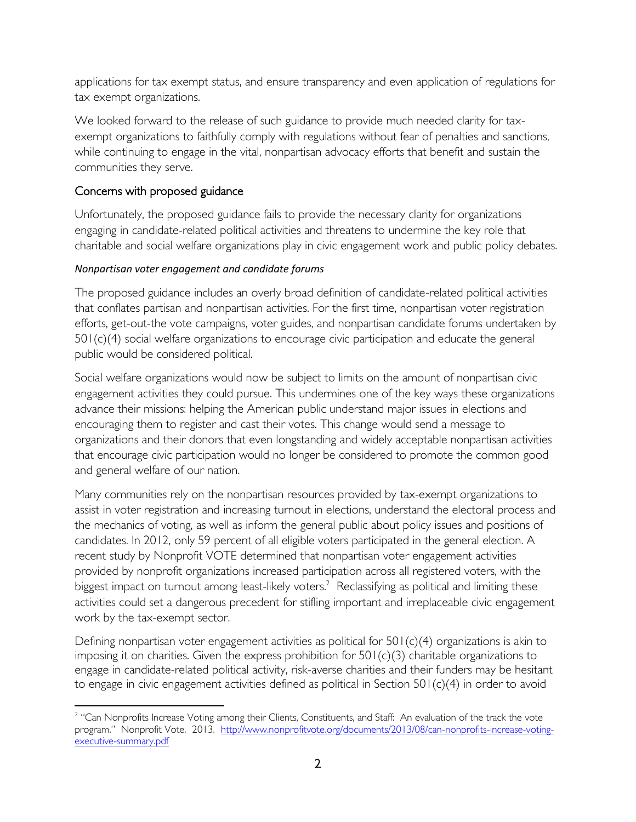applications for tax exempt status, and ensure transparency and even application of regulations for tax exempt organizations.

We looked forward to the release of such guidance to provide much needed clarity for taxexempt organizations to faithfully comply with regulations without fear of penalties and sanctions, while continuing to engage in the vital, nonpartisan advocacy efforts that benefit and sustain the communities they serve.

# Concerns with proposed guidance

Unfortunately, the proposed guidance fails to provide the necessary clarity for organizations engaging in candidate-related political activities and threatens to undermine the key role that charitable and social welfare organizations play in civic engagement work and public policy debates.

# *Nonpartisan voter engagement and candidate forums*

The proposed guidance includes an overly broad definition of candidate-related political activities that conflates partisan and nonpartisan activities. For the first time, nonpartisan voter registration efforts, get-out-the vote campaigns, voter guides, and nonpartisan candidate forums undertaken by 501(c)(4) social welfare organizations to encourage civic participation and educate the general public would be considered political.

Social welfare organizations would now be subject to limits on the amount of nonpartisan civic engagement activities they could pursue. This undermines one of the key ways these organizations advance their missions: helping the American public understand major issues in elections and encouraging them to register and cast their votes. This change would send a message to organizations and their donors that even longstanding and widely acceptable nonpartisan activities that encourage civic participation would no longer be considered to promote the common good and general welfare of our nation.

Many communities rely on the nonpartisan resources provided by tax-exempt organizations to assist in voter registration and increasing turnout in elections, understand the electoral process and the mechanics of voting, as well as inform the general public about policy issues and positions of candidates. In 2012, only 59 percent of all eligible voters participated in the general election. A recent study by Nonprofit VOTE determined that nonpartisan voter engagement activities provided by nonprofit organizations increased participation across all registered voters, with the biggest impact on turnout among least-likely voters. $^2$  Reclassifying as political and limiting these activities could set a dangerous precedent for stifling important and irreplaceable civic engagement work by the tax-exempt sector.

Defining nonpartisan voter engagement activities as political for 501(c)(4) organizations is akin to imposing it on charities. Given the express prohibition for  $501(c)(3)$  charitable organizations to engage in candidate-related political activity, risk-averse charities and their funders may be hesitant to engage in civic engagement activities defined as political in Section 501(c)(4) in order to avoid

 $\overline{\phantom{a}}$ <sup>2</sup> "Can Nonprofits Increase Voting among their Clients, Constituents, and Staff: An evaluation of the track the vote program." Nonprofit Vote. 2013. [http://www.nonprofitvote.org/documents/2013/08/can-nonprofits-increase-voting](http://www.nonprofitvote.org/documents/2013/08/can-nonprofits-increase-voting-executive-summary.pdf)[executive-summary.pdf](http://www.nonprofitvote.org/documents/2013/08/can-nonprofits-increase-voting-executive-summary.pdf)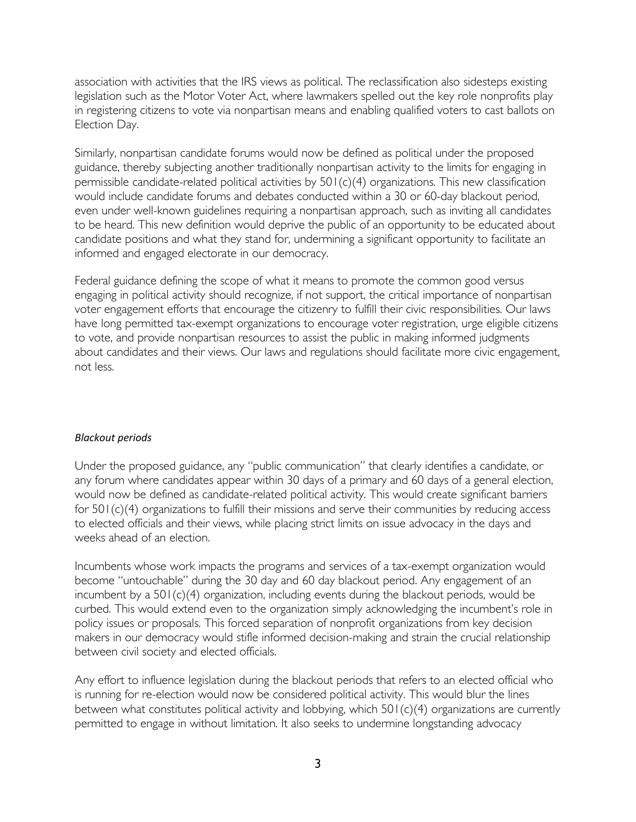association with activities that the IRS views as political. The reclassification also sidesteps existing legislation such as the Motor Voter Act, where lawmakers spelled out the key role nonprofits play in registering citizens to vote via nonpartisan means and enabling qualified voters to cast ballots on Election Day.

Similarly, nonpartisan candidate forums would now be defined as political under the proposed guidance, thereby subjecting another traditionally nonpartisan activity to the limits for engaging in permissible candidate-related political activities by 501(c)(4) organizations. This new classification would include candidate forums and debates conducted within a 30 or 60-day blackout period, even under well-known guidelines requiring a nonpartisan approach, such as inviting all candidates to be heard. This new definition would deprive the public of an opportunity to be educated about candidate positions and what they stand for, undermining a significant opportunity to facilitate an informed and engaged electorate in our democracy.

Federal guidance defining the scope of what it means to promote the common good versus engaging in political activity should recognize, if not support, the critical importance of nonpartisan voter engagement efforts that encourage the citizenry to fulfill their civic responsibilities. Our laws have long permitted tax-exempt organizations to encourage voter registration, urge eligible citizens to vote, and provide nonpartisan resources to assist the public in making informed judgments about candidates and their views. Our laws and regulations should facilitate more civic engagement, not less.

#### *Blackout periods*

Under the proposed guidance, any "public communication" that clearly identifies a candidate, or any forum where candidates appear within 30 days of a primary and 60 days of a general election, would now be defined as candidate-related political activity. This would create significant barriers for 501(c)(4) organizations to fulfill their missions and serve their communities by reducing access to elected officials and their views, while placing strict limits on issue advocacy in the days and weeks ahead of an election.

Incumbents whose work impacts the programs and services of a tax-exempt organization would become "untouchable" during the 30 day and 60 day blackout period. Any engagement of an incumbent by a 501(c)(4) organization, including events during the blackout periods, would be curbed. This would extend even to the organization simply acknowledging the incumbent's role in policy issues or proposals. This forced separation of nonprofit organizations from key decision makers in our democracy would stifle informed decision-making and strain the crucial relationship between civil society and elected officials.

Any effort to influence legislation during the blackout periods that refers to an elected official who is running for re-election would now be considered political activity. This would blur the lines between what constitutes political activity and lobbying, which 501(c)(4) organizations are currently permitted to engage in without limitation. It also seeks to undermine longstanding advocacy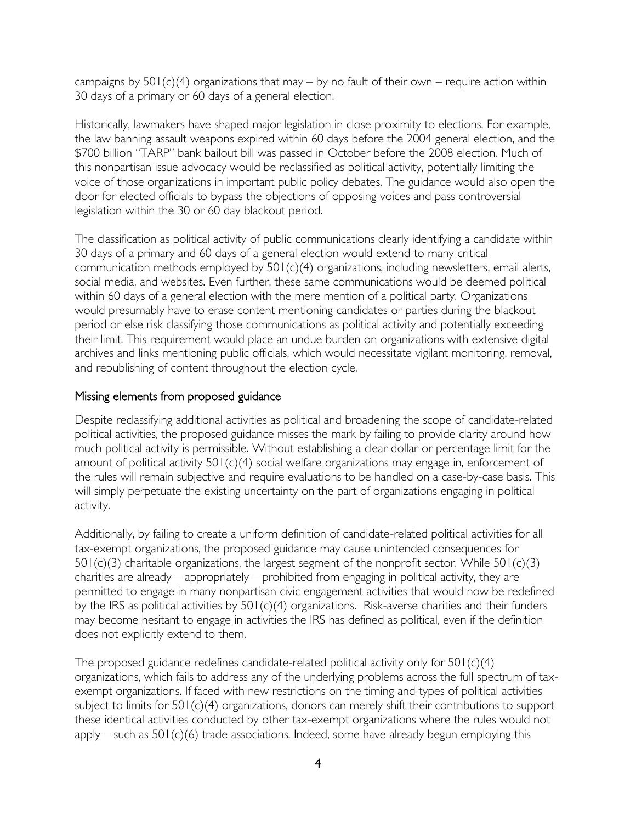campaigns by  $501(c)(4)$  organizations that may – by no fault of their own – require action within 30 days of a primary or 60 days of a general election.

Historically, lawmakers have shaped major legislation in close proximity to elections. For example, the law banning assault weapons expired within 60 days before the 2004 general election, and the \$700 billion "TARP" bank bailout bill was passed in October before the 2008 election. Much of this nonpartisan issue advocacy would be reclassified as political activity, potentially limiting the voice of those organizations in important public policy debates. The guidance would also open the door for elected officials to bypass the objections of opposing voices and pass controversial legislation within the 30 or 60 day blackout period.

The classification as political activity of public communications clearly identifying a candidate within 30 days of a primary and 60 days of a general election would extend to many critical communication methods employed by 501(c)(4) organizations, including newsletters, email alerts, social media, and websites. Even further, these same communications would be deemed political within 60 days of a general election with the mere mention of a political party. Organizations would presumably have to erase content mentioning candidates or parties during the blackout period or else risk classifying those communications as political activity and potentially exceeding their limit. This requirement would place an undue burden on organizations with extensive digital archives and links mentioning public officials, which would necessitate vigilant monitoring, removal, and republishing of content throughout the election cycle.

## Missing elements from proposed guidance

Despite reclassifying additional activities as political and broadening the scope of candidate-related political activities, the proposed guidance misses the mark by failing to provide clarity around how much political activity is permissible. Without establishing a clear dollar or percentage limit for the amount of political activity 501(c)(4) social welfare organizations may engage in, enforcement of the rules will remain subjective and require evaluations to be handled on a case-by-case basis. This will simply perpetuate the existing uncertainty on the part of organizations engaging in political activity.

Additionally, by failing to create a uniform definition of candidate-related political activities for all tax-exempt organizations, the proposed guidance may cause unintended consequences for 501(c)(3) charitable organizations, the largest segment of the nonprofit sector. While 501(c)(3) charities are already – appropriately – prohibited from engaging in political activity, they are permitted to engage in many nonpartisan civic engagement activities that would now be redefined by the IRS as political activities by 501(c)(4) organizations. Risk-averse charities and their funders may become hesitant to engage in activities the IRS has defined as political, even if the definition does not explicitly extend to them.

The proposed guidance redefines candidate-related political activity only for 501(c)(4) organizations, which fails to address any of the underlying problems across the full spectrum of taxexempt organizations. If faced with new restrictions on the timing and types of political activities subject to limits for 501(c)(4) organizations, donors can merely shift their contributions to support these identical activities conducted by other tax-exempt organizations where the rules would not apply – such as  $501(c)(6)$  trade associations. Indeed, some have already begun employing this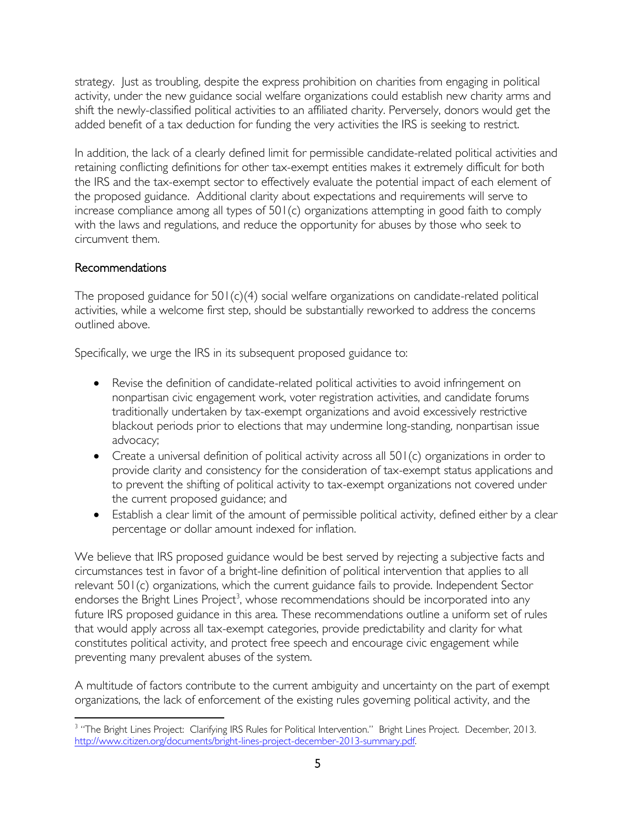strategy. Just as troubling, despite the express prohibition on charities from engaging in political activity, under the new guidance social welfare organizations could establish new charity arms and shift the newly-classified political activities to an affiliated charity. Perversely, donors would get the added benefit of a tax deduction for funding the very activities the IRS is seeking to restrict.

In addition, the lack of a clearly defined limit for permissible candidate-related political activities and retaining conflicting definitions for other tax-exempt entities makes it extremely difficult for both the IRS and the tax-exempt sector to effectively evaluate the potential impact of each element of the proposed guidance. Additional clarity about expectations and requirements will serve to increase compliance among all types of 501(c) organizations attempting in good faith to comply with the laws and regulations, and reduce the opportunity for abuses by those who seek to circumvent them.

## Recommendations

The proposed guidance for 501(c)(4) social welfare organizations on candidate-related political activities, while a welcome first step, should be substantially reworked to address the concerns outlined above.

Specifically, we urge the IRS in its subsequent proposed guidance to:

- Revise the definition of candidate-related political activities to avoid infringement on nonpartisan civic engagement work, voter registration activities, and candidate forums traditionally undertaken by tax-exempt organizations and avoid excessively restrictive blackout periods prior to elections that may undermine long-standing, nonpartisan issue advocacy;
- Create a universal definition of political activity across all 501(c) organizations in order to provide clarity and consistency for the consideration of tax-exempt status applications and to prevent the shifting of political activity to tax-exempt organizations not covered under the current proposed guidance; and
- Establish a clear limit of the amount of permissible political activity, defined either by a clear percentage or dollar amount indexed for inflation.

We believe that IRS proposed guidance would be best served by rejecting a subjective facts and circumstances test in favor of a bright-line definition of political intervention that applies to all relevant 501(c) organizations, which the current guidance fails to provide. Independent Sector endorses the Bright Lines Project<sup>3</sup>, whose recommendations should be incorporated into any future IRS proposed guidance in this area. These recommendations outline a uniform set of rules that would apply across all tax-exempt categories, provide predictability and clarity for what constitutes political activity, and protect free speech and encourage civic engagement while preventing many prevalent abuses of the system.

A multitude of factors contribute to the current ambiguity and uncertainty on the part of exempt organizations, the lack of enforcement of the existing rules governing political activity, and the

 $\overline{a}$ <sup>3</sup> "The Bright Lines Project: Clarifying IRS Rules for Political Intervention." Bright Lines Project. December, 2013. [http://www.citizen.org/documents/bright-lines-project-december-2013-summary.pdf.](http://www.citizen.org/documents/bright-lines-project-december-2013-summary.pdf)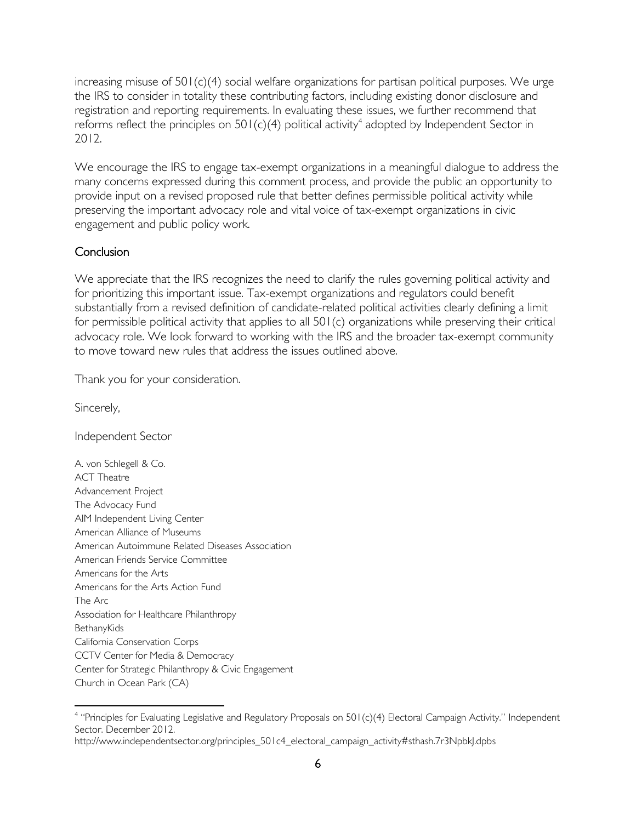increasing misuse of 501(c)(4) social welfare organizations for partisan political purposes. We urge the IRS to consider in totality these contributing factors, including existing donor disclosure and registration and reporting requirements. In evaluating these issues, we further recommend that reforms reflect the principles on 501(c)(4) political activity<sup>4</sup> adopted by Independent Sector in 2012.

We encourage the IRS to engage tax-exempt organizations in a meaningful dialogue to address the many concerns expressed during this comment process, and provide the public an opportunity to provide input on a revised proposed rule that better defines permissible political activity while preserving the important advocacy role and vital voice of tax-exempt organizations in civic engagement and public policy work.

### **Conclusion**

We appreciate that the IRS recognizes the need to clarify the rules governing political activity and for prioritizing this important issue. Tax-exempt organizations and regulators could benefit substantially from a revised definition of candidate-related political activities clearly defining a limit for permissible political activity that applies to all 501(c) organizations while preserving their critical advocacy role. We look forward to working with the IRS and the broader tax-exempt community to move toward new rules that address the issues outlined above.

Thank you for your consideration.

Sincerely,

 $\overline{\phantom{a}}$ 

Independent Sector

A. von Schlegell & Co. ACT Theatre Advancement Project The Advocacy Fund AIM Independent Living Center American Alliance of Museums American Autoimmune Related Diseases Association American Friends Service Committee Americans for the Arts Americans for the Arts Action Fund The Arc Association for Healthcare Philanthropy **BethanyKids** California Conservation Corps CCTV Center for Media & Democracy Center for Strategic Philanthropy & Civic Engagement Church in Ocean Park (CA)

<sup>&</sup>lt;sup>4</sup> "Principles for Evaluating Legislative and Regulatory Proposals on 501(c)(4) Electoral Campaign Activity." Independent Sector. December 2012.

[http://www.independentsector.org/principles\\_501c4\\_electoral\\_campaign\\_activity#sthash.7r3NpbkJ.dpbs](http://www.independentsector.org/principles_501c4_electoral_campaign_activity#sthash.7r3NpbkJ.dpbs)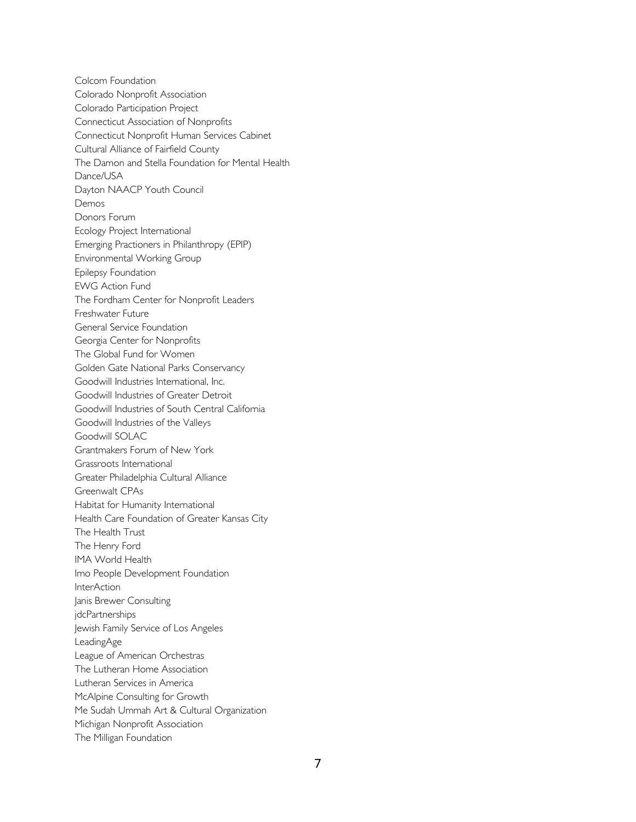Colcom Foundation Colorado Nonprofit Association Colorado Participation Project Connecticut Association of Nonprofits Connecticut Nonprofit Human Services Cabinet Cultural Alliance of Fairfield County The Damon and Stella Foundation for Mental Health Dance/USA Dayton NAACP Youth Council Demos Donors Forum Ecology Project International Emerging Practioners in Philanthropy (EPIP) Environmental Working Group Epilepsy Foundation EWG Action Fund The Fordham Center for Nonprofit Leaders Freshwater Future General Service Foundation Georgia Center for Nonprofits The Global Fund for Women Golden Gate National Parks Conservancy Goodwill Industries International, Inc. Goodwill Industries of Greater Detroit Goodwill Industries of South Central California Goodwill Industries of the Valleys Goodwill SOLAC Grantmakers Forum of New York Grassroots International Greater Philadelphia Cultural Alliance Greenwalt CPAs Habitat for Humanity International Health Care Foundation of Greater Kansas City The Health Trust The Henry Ford IMA World Health Imo People Development Foundation **InterAction** Janis Brewer Consulting jdcPartnerships Jewish Family Service of Los Angeles LeadingAge League of American Orchestras The Lutheran Home Association Lutheran Services in America McAlpine Consulting for Growth Me Sudah Ummah Art & Cultural Organization Michigan Nonprofit Association The Milligan Foundation